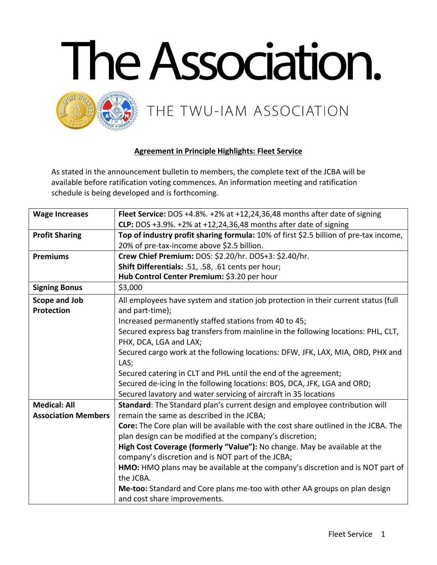



## **Agreement in Principle Highlights: Fleet Service**

As stated in the announcement bulletin to members, the complete text of the JCBA will be available before ratification voting commences. An information meeting and ratification schedule is being developed and is forthcoming.

| <b>Wage Increases</b>      | Fleet Service: DOS +4.8%. +2% at +12,24,36,48 months after date of signing            |
|----------------------------|---------------------------------------------------------------------------------------|
|                            | CLP: DOS +3.9%. +2% at +12,24,36,48 months after date of signing                      |
| <b>Profit Sharing</b>      | Top of industry profit sharing formula: 10% of first \$2.5 billion of pre-tax income, |
|                            | 20% of pre-tax-income above \$2.5 billion.                                            |
| <b>Premiums</b>            | Crew Chief Premium: DOS: \$2.20/hr. DOS+3: \$2.40/hr.                                 |
|                            | Shift Differentials: .51, .58, .61 cents per hour;                                    |
|                            | Hub Control Center Premium: \$3.20 per hour                                           |
| <b>Signing Bonus</b>       | \$3,000                                                                               |
| Scope and Job              | All employees have system and station job protection in their current status (full    |
| <b>Protection</b>          | and part-time);                                                                       |
|                            | Increased permanently staffed stations from 40 to 45;                                 |
|                            | Secured express bag transfers from mainline in the following locations: PHL, CLT,     |
|                            | PHX, DCA, LGA and LAX;                                                                |
|                            | Secured cargo work at the following locations: DFW, JFK, LAX, MIA, ORD, PHX and       |
|                            | LAS;                                                                                  |
|                            | Secured catering in CLT and PHL until the end of the agreement;                       |
|                            | Secured de-icing in the following locations: BOS, DCA, JFK, LGA and ORD;              |
|                            | Secured lavatory and water servicing of aircraft in 35 locations                      |
| <b>Medical: All</b>        | Standard: The Standard plan's current design and employee contribution will           |
| <b>Association Members</b> | remain the same as described in the JCBA;                                             |
|                            | Core: The Core plan will be available with the cost share outlined in the JCBA. The   |
|                            | plan design can be modified at the company's discretion;                              |
|                            | High Cost Coverage (formerly "Value"): No change. May be available at the             |
|                            | company's discretion and is NOT part of the JCBA;                                     |
|                            | HMO: HMO plans may be available at the company's discretion and is NOT part of        |
|                            | the JCBA.                                                                             |
|                            | Me-too: Standard and Core plans me-too with other AA groups on plan design            |
|                            | and cost share improvements.                                                          |